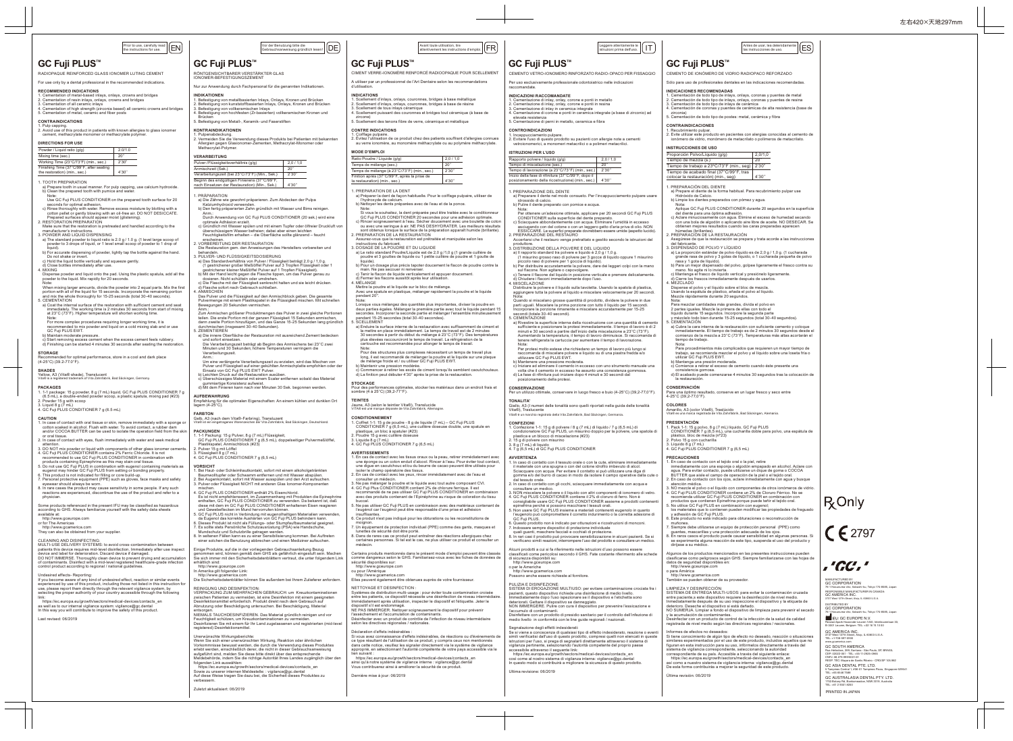RADIOPAQUE REINFORCED GLASS IONOMER LUTING CEMENT

For use only by a dental professional in the recommended indications.

**RECOMMENDED INDICATIONS** 1. Cementation of metal-based inlays, onlays, crowns and bridges 2. Cementation of resin inlays, onlays, crowns and bridges

- 1. TOOTH PREPARATION a) Prepare tooth in usual manner. For pulp capping, use calcium hydroxide. b) Clean the prepared tooth with pumice and water.
- Note: Use GC Fuji PLUS CONDITIONER on the prepared tooth surface for 20
- 
- seconds for optimal adhesion.<br>
c) Rines thoroughly with water. Remove excess moisture by blotting with a<br>
cotton pellet or gently blowing with an oil-free air. DO NOT DESICCATE.<br>
Prepared surfaces should appear moist (glis
- 
- manufacturer's instructions. 3. POWDER AND LIQUID DISPENSING a) The standard powder to liquid ratio is 2.0 g / 1.0 g. (1 level large scoop of
- powder to 3 drops of liquid, or 1 level small scoop of powder to 1 drop of
- liquid). b) For accurate dispensing of powder, lightly tap the bottle against the hand. Do not shake or invert. c) Hold the liquid bottle vertically and squeeze gently. d) Close bottles immediately after use. 4. MIXING
- 
- Dispense powder and liquid onto the pad. Using the plastic spatula, add all the powder to the liquid. Mix rapidly for 20 seconds.
- 
- Note:<br>When mixing larger amounts, divide the powder into 2 equal parts. Mix the first<br>portion with all of the liquid for 15 seconds. Incorporate the remaining portion<br>and mix the whole thoroughly for 15-25 seconds (total 3
- a) Coat the internal surface of the restoration with sufficient cement and seat<br>immediately. The working time is 2 minutes 30 seconds from start of mixing<br>at 23°C (73°F). Higher temperature will shorten working time.
- Note:<br>For more complex procedures requiring longer working time, it is<br>frommended to mix powder and liquid on a cold mixing slab and or use<br>GC Fuji PLUS EWT.<br>Distrimended pressure.<br>Of Start removing excess center from the
- 
- 
- 
- 3. Cementation of all ceramic inlays 4. Cementation of high strength (zirconia based) all ceramic crowns and bridges 5. Cementation of metal, ceramic and fiber posts
- **CONTRAINDICATIONS**

### **STORAGE** ed for optimal performance, store in a cool and dark place

(4-25°C) (39.2-77.0°F).

- 
- **SHADES**<br>Yellow, A3 (Vita® shade), Translucent<br>Vita® is a registered trademark of Vita Zahnfabrik, Bad Säckingen, Germany.

## $\boxed{\frac{\text{Prior to use, carefully read}}{\text{the instructions for use.}}\boxed{\text{EN}}}$

RÖNTGENSICHTBARER VERSTÄRKTER GLAS ONOMER-BEFESTIGUNGSZEMENT

### **PACKAGES**

- 1. 1-1 package: 15 g powder, 8 g (7 mL) liquid, GC Fuji PLUS CONDITIONER 7 g (6.5 mL), a double-ended powder scoop, a plastic spatula, mixing pad (#23)
- 2. Powder 15 g with scoop 3. Liquid 8 g (7 mL) 4. GC Fuji PLUS CONDITIONER 7 g (6.5 mL)

- CAUTION<br>1. In case of contact with oral tissue or skin, remove immediately with a sponge or<br>cotton soaked in alcohol. Flush with water. To avoid contact, a rubber dam<br>and/or COCOA BUTTER can be used to isolate the operatio
- or oral tissue. 2. In case of contact with eyes, flush immediately with water and seek medical
- attention.<br>3. DO NOT mix nowder or liquid with components of other glass ionomer cen
- 3. DO NOT mix powder or liquid with components of other glass ionomer cements.<br>4. GC Fuji PLUS CONDITIONER contains 2% Ferric Chloride. It is not<br>recommended to use GC Fuji PLUS CONDITIONER in combination with<br>products co
- 
- 
- 7. Personal protective equipment (PPE) such as gloves, face masks and safety<br>eyewear should always be worn.<br>8. In rare cases the product may cause sensitivity in some people. If any such<br>reactions are experienced, disconti

Zum Anmischen größerer Produktmengen das Pulver in zwei gleiche Portionen<br>teilen. Die erste Portion mit der ganzen Flüssigkeit 15 Sekunden ammischen,<br>dann zweite Portion hinzufügen, und das Ganze 15-25 Sekunden ammischen,<br> LUMENTIEREN<br>a) Die innere Oberfläche der Restauration mit ausreichend Zement bec<br>und sofort einsetzen.<br>Die Verarbeitungszeit beträgt ab Beginn des Anmischens bei 23°C z Die Verarbeitungszeit beträgt ab Beginn des Anmischens bei 23°C zwei Minuten und 30 Sekunden; höhere Temperaturen verringern die

Anm.<br>
Im eine verlängerte Verarbeitungszeit zu erzielen, wird das Mischen von<br>
Um eine verlängerte Verarbeitungszeit zur einer gekühlten Anmischplatte empfohlen oder der<br>
Einsatz von GC Fuji PLUS EVIT Pulver.<br>
b) Leichten

**AUFBEWAHRUNG**<br>Empfehlung für die optimalen Eigenschaften: An einem kühlen und dunklen Ort<br>lagern (4-25°C).

**FARBTON**<br>Gelb, A3 (nach dem Vita®-Farbring), Transluzent<br>Vita® ist ein eingetragenes Warenzeichen der Vita Zahnfabrik, Bad Säckingen, Deutschland.

**PACKUNGEN**<br>1. 1-1 Packung: 15 g Pulver, 8 g (7 mL) Flüssigkeit,<br>GC Fuji PLUS CONDITIONER 7 g (6,5 mL), doppelseitiger Pulvermeßlöffel,<br>Plastikspatel, Anmischblock (#23)

VORSICHT<br>1. Bei Haut- oder Schleimhautkontakt, sofort mit einem alkoholgetränkten<br>1. Bei Haut- oder Schlwamm entfernen und mit Wasser abspülen.<br>2. Bei Augenkontakt, sofort mit Wasser ausspülen und den Arzt aufsuchen.<br>3. Pu

4. GC Fuji PLUS CONDITIONER enthält 2% Eisenchlorid.<br>Esist nicht empfehlenswert, im Zusammenhang mit Produkten die Epinephrine<br>enthälten, GC Fuji PLUS CONDITIONER zu erwenden. Da bekannt ist, daß<br>diese mit dem im GC Fuji P

Mundschutz und Schutzbrille getragen werden.<br>8. In seltenen Fällen kann es zu einer Sensibilisierung kommen. Bei Auftreten<br>einer solchen die Benutzung abbrechen und einen Mediziner aufsuchen.

Einige Produkte, auf die in der vorliegenden Gebrauchsanleitung Bezug<br>genommen wird, können gemäß dem GHS als gefährlich eingestuft sein. Machen<br>Sie sich immer mit den Sicherheitsdatenblättern vertraut, die unter folgendem

### physician.

Some products referenced in the present IFU may be classified as hazardous according to GHS. Always familiarize yourself with the safety data sheets available at:

http://www.gceurope.com or for The Americas http://www.gcamerica.com

- They can also be obtained from your supplier.
- 
- 
- 
- CLEANING AND DISINFECTING:<br>MULTI-USE DELIVERY SYSTEMS: to avoid cross-contamination between<br>patients this device requires mid-level disinfection. Immediately after use inspect<br>device and label for deterioration. Discard de

Undesired effects- Reporting:<br>If you become aware of any kind of undesired effect, reaction or similar events If you become aware of any kind of undesired effect, reaction or similar events<br>experienced by use of this product, including those not listed in this instruction for<br>use, please report them directly through the relevant v

link: https://ec.europa.eu/growth/sectors/medical-devices/contacts\_en as well as to our internal vigilance system: vigilance@gc.dental In this way you will contribute to improve the safety of this product.

### Last revised: 06/2019

REINIGUNG UND DESINFEKTION:<br>VERPACKUNG ZUM MEHRFACHEN GEBRAUCH: um Kreuzkontaminationen<br>zwischen Patienten zu vermeiden, ist eine Desinfektion mit einem geeigneten<br>Desinfektionsmittel erforderlich. Produkt direkt nach dem

entsorgen.<br>NIEMALS TAUCHDESINFIZIEREN. Das Material gründlich reinigen und vor<br>Feuchtigkeit schützen, um Kreuzkontaminationen zu vermeiden.<br>Desinfizieren Sie mit einem für Ihr Land zugelassenen und registrierten (mid-level

Nur zur Anwendung durch Fachpersonal für die genannten Indikationen.

Vor der Benutzung bitte die<br>Gebrauchsanweisung gründlich lesen!

Brücken 5. Befestigung von Metall-, Keramik- und Faserstiften

**KONTRAINDIKATIONEN**

**VERARBEITUNG**

**PRÄPARATION** 

Allergien gegen Glasionomer-Žer<br>Methacrylat-Polymer

erscheinen. 2. VORBEREITUNG DER RESTAURATION

b) Pour un dosage plus précis tapoter doucement le flacon de poudre contre la<br>main. Ne pas secouer ni renverser.<br>c) Tenir le flacon de liquide verticalement et appuyer doucement.<br>d) Fermer les flacons aussitôt après leur u Mettre la poudre et le liquide sur le bloc de mélange. Avec une spatule en plastique, mélanger rapidement la poudre et le liquide

Note:<br>Lorsque vous mélangez des quantités plus importantes, diviser la poudre en<br>deux parties égales. Mélanger la première partie avec tout le liquide pendant 15<br>secondes. Incorporer la seconde partie et mélanger l'ensembl

a) Enduire la surface interne de la restauration avec suffisamment de ciment et<br>la mettre en place immédiatement. Le temps de travail est de 2 minutes<br>30 secondes à partir du début du mélange à 23°C (73°F). Des température cartouche est recommandée pour allonger le temps de travail. ite.<br>ur des structures plus complexes nécessitant un temps de travail plus Pour des structures plus complexes nécessitant un temps de travail plus<br>long, il est recommandé de mélanger la poudre et le liquide sur une plaque<br>de mélange froide et / ou utiliser GC Fuji PLUS EWT.<br>b) Maintenir une pres

**STOCKAGE**<br>Pour des performances optimales, stocker les matériaux dans un endroit frais et<br>sombre (4 à 25°C) (39,2-77°F).

CONDITIONNEMENT<br>1. Coffret 1-1: 15 g de poudre - 8 g de liquide (7 mL) – GC Fuji PLUS<br>CONDITIONER 7 g (6,5 mL), une cuillère doseuse double, une spatule en<br>plastique, un bloc à spatuler (#23)<br>2. liquide 8 g (7 mL)<br>2. liqui

**AVERTISSEMENTS**<br>1. En cas de contact avec les tissus oraux ou la peau, retirer immédiatement avec<br>
une éponge ou un coton enduit d'alcool. Rincer à l'eau. Pour éviter tout contact,<br>
une digue en caoutchouc et/ou du beurre

Verarbeitungszeit.

consulter un médecin.<br>3. Ne pas mélanger la poudre et le liquide avec tout autre composant CVI.<br>4. GC Fuji Plus CONDITIONER contient 2% de chlorure ferrique. Il est<br>4. GC Fuji Plus CONDITIONER contient 2% de chlorure ferri buccal. 5. Ne pas utiliser GC Fuji PLUS en combinaison avec des matériaux contenant de l'eugénol car l'eugénol peut être responsable d'une prise et adhésion insuffisantes. 6. Ce produit n'est pas indiqué pour les obturations ou les reconstitutions de moignon. 7. Un équipement de protection individuel (PPE) comme des gants, masques et lunettes de sécurité doit être porté. 8. Dans de rares cas ce produit peut entraîner des réactions allergiques chez certaines personnes. Si tel est le cas, ne plus utiliser ce produit et consulter un médecin.

Certains produits mentionnées dans le présent mode d'emploi peuvent être classés<br>comme dangereux selon le GHS. Familiarisez-vous avec les fiches de données de<br>sécurité disponibles sur:<br>http://www.geurope.com<br>http://www.gam

NETTOYAGE ET DESINFECTION :<br>Systèmes de distribution multi-usage : pour éviter toute contamination croisée<br>entre les patients, ce dispositif nécessite une désinfection de niveau intermédiaire.<br>Immédiatement après utilisati nimieuralement après unisation, inspecter le dispositif et renquene, sele<br>dispositif s'il est endommagé.<br>NE PAS IMMERGER. Nettoyer soigneusement le dispositif pour prévenir l'assèchement et l'accumulation de contaminants.<br>Désinfecter avec un produit de contrôle de l'infection de niveau intermédiaire<br>selon les directives régionales / nationales.

Déclaration d'effets indésirables : Si vous avez connaissance d'effets indésirables, de réactions ou d'événements de ce type résultant de l'utilisation de ce produit, y compris ceux non mentionnés<br>dans cette notice, veuillez les signaler directement via le système de vigilance<br>approprié, en sélectionnant l'autorité compétente de votre pa

2. Pulver 15 g mit Löffel 3. Flüssigkeit 8 g (7 mL) 4. GC Fuji PLUS CONDITIONER 7 g (6,5 mL)

## GC Fuji PLUS™ | GC Fuji PLUS™ | GC Fuji PLUS™ GC Fuji PLUS™ | GC Fuji PLUS™

In Amerika gilt folgender Link: http://www.gcamerica.com Die Sicherheitsdatenblätter können Sie außerdem bei Ihrem Zulieferer anfordern.

PULIZIA E DISINFEZIONE: SISTEMI DI EROGAZIONE MULTIUSO: per evitare contaminazione crociata fra i pazienti, questo dispositivo richiede una disinfezione di medio livello.<br>Immediatamente dopo l'uso ispezionare se il dispositivo e l'etichetta sono<br>deteriorati. Gettare il dispositivo se danneggiato.<br>NON IMMERGERE. Pulire

Zuletzt aktualisiert: 06/2019

Unerwünschte Wirkungsberichte:<br>Wenn Sie sich einer unerwünschten Wirkung, Reaktion oder ähnlichen<br>Vorkommnisse bewusst werden, die durch die Verwendung dieses Produktes<br>erlebt werden, einschließlich derer, die nicht in die

folgenden Link auswählen:<br>- https://ec.europa.eu/growth/sectors/medical-devices/contacts\_en<br>Sowie zu unserer internen Meldestelle: : vigilance@gc.dental<br>Auf diese Welse tragen Sie dazu bei, die Sicherheit dieses Produktes

CIMENT VERRE-IONOMÈRE RENFORCÉ RADIOOPAQUE POUR SCELLEMENT A utiliser par un professionnel de l'Art Dentaire selon les recommandations

Vorder Benutzung bitte die antanente le part de la proposition, lire de la proposition de la proposition de la proposition de la proposition de la proposition de la proposition de la proposition de la proposition de la pro

INDICATIONS<br>1. Scellement d'inlays, onlays, couronnes, bridges à base métallique<br>2. Scellement d'inlays, onlays, couronnes, bridges à base de résine<br>3. Scellement de tous inlays céramique<br>4. Scellement puissant des couronn

**CONTRE INDICATIONS<br>1. Coiffage pulpaire.**<br>2. Évitez l'utilisation de ce produit chez des patients souffrant d'allergies connues<br>- au verre ionomère, au monomère méthacrylate ou au polymère méthacrylate.

d'utilisation.

zircone) 5. Scellement des tenons fibre de verre, céramique et métallique

Ratio Poudre / Liquide (q/g) 2,0 / 1,0 Temps de mélange (sec.) 20'' Temps de mélange (à 23°C/73°F) (min., sec.) 2'30'' Finition après (37°C/99°F, après la prise de Piniuon apres (37 C/99 F, apres la prise de de la 4'30''<br>la restauration) (min., sec.)

**MODE D'EMPLOI**

1. PREPARATION DE LA DENT a) Préparer la dent de façon habituelle. Pour le coiffage pulpaire, utiliser de l'hydroxyde de calcium. b) Nettoyer les dents préparées avec de l'eau et de la ponce.

Note:<br>Si vous le souhaitez, la dent préparée peut être traitée avec le conditionneur<br>GC Fuji PLUS CONDITIONER 20 secondes pour une adhésion optimale.<br>o) Rincer soigneusement à l'eau. Sécher doucement avec une boulette de c

sont obtenus lorsque la surface de la préparation apparaît humide (brillante).<br>2. PREPARATION DE LA RESTAURATION<br>Assurez-vous que la restauration est prétraitée et manipulée selon les<br>instructions du fabricant.<br>3. DOSAGE D

a) Le ratio standard Poudre/Liquide est de 2,0 g /1,0 g (1 grande cuillère de poudre et 3 gouttes de liquide ou 1 petite cuillère de poudre et 1 goutte de liquide).

**TEINTES**

I**NDIKATIONEN**<br>1. Befestigung von metallbasierten Inlays, Onlays, Kronen und Brücken<br>2. Befestigung von kunststoffbasierten Inlays, Onlays, Kronen und Brücken<br>3. Befestigung von hochfestien (Zr-basierten) vollkeramischen K

1. Pulpenabdeckung.<br>2. Vermeiden Sie die Verwendung dieses Produkts bei Patienten mit bekannten<br>- Allergien gegen Glasionomer-Zementen, Methacrylat-Monomer oder

Pultnis  $(g/g)$  2,0 / 1,0

r KAPARATION<br>a) Die Zähne wie gewohnt präparieren. Zum Abdecken der Pulpa<br>Kalziumbydroxid verwenden Kalziumhydroxid verwenden. b) Den fertig präparierten Zahn gründlich mit Wasser und Bims reinigen. Anm.: Durch Anwendung von GC Fuji PLUS CONDITIONER (20 sek.) wird eine optimale Adhäsion erzielt.<br>c) Gründlich mit Wasser spülen und mit einem Tupfer oder ölfreier Druckluft von<br>überschüssigem Wasser befreien; dabei aber einen leichten<br>Feuchtigkeitsfilm erhalten – die Oberfläche sollte glänze

Die Restauration gem. den Anweisungen des Herstellers vorbereiten und<br>
2. PULVER- UND FLÜSSIGKEITSDOSIERUNG<br>
2. All Das Standardverhältnis von Pulver / Flüssigkeit beträgt 2,0 g / 1,0 g.<br>
2. (1 gestrichener großer Meßlöffe

Jaune, A3 (selon le teintier Vita®), Translucide VITA® est une marque déposée de Vita Zahnfabrik, Allemagne.

Informes de efectos no deseados:<br>Si tiene conocimiento de algún tipo de efecto no deseado, reacción o situaciones<br>similares experimentados por el uso de este producto, incluidos aquellos que no<br>figuran en esta instrucción sistema de vigilancia correspondiente, seleccionando la autoridad<br>correspondiente de su país. Accesible a través del siguiente enlace:<br>https://ec.europa.eu/growth/sectors/medical-devices/contacts\_en así como a nuestro sistema de vigilancia interna: vigilance@gc.dental De esta forma contribuirás a mejorar la seguridad de este producto.

 $C$   $E$  2797

**R** Only

. 'GC'. '

- 1. Pulp capping. 2. Avoid use of this product in patients with known allergies to glass ionomer cement, methacrylate monomer or methacrylate polymer.
- **DIRECTIONS FOR USE** Powder / Liquid ratio (g/g) 2.0/1.0 Mixing time (sec.) 20''

lien suivant : https://ec.europa.eu/growth/sectors/medical-devices/contacts\_en ainsi qu'à notre système de vigilance interne : vigilance@gc.dental Vous contribuerez ainsi à améliorer la sécurité de ce produit.

Dernière mise à jour: 06/2019

Avec une spatule en plastique, mélanger rapide<br>pendant 20".

CEMENTO VETRO-IONOMERO RINFORZATO RADIO-OPACO PER FISSAGGIO Per uso esclusivamente professionale odontoiatrico nelle indicazioni

INDICAZIONI RACCOMANDATE<br>1. Cementazione di inlay, onlay, corone e ponti in metallo<br>2. Cementazione di inlay, onlay, corone e ponti in resina<br>3. Cementazione di inlay in ceramica integrale<br>4. Cementazione di corone e ponti

**CONTROINDICAZIONI** 1. Incappucciamento pulpare.

2. Evitare l'uso di questo prodotto su pazienti con allergie note a cementi vetroionomerici, a monomeri metacrilici o a polimeri metacrilici.

Rapporto polvere / liquido  $(g/g)$  2,0 / 1,0<br>Tempo di miscelazione (sec.) 20" Tempo di miscelazione (sec.) 20'' Tempo di lavorazione (a 23°C/73°F) (min., sec.) 2'30'' Inizio della fase di rifinitura (37°C/99°F, dopo il inizio della fase di rifinitura (37°C/99°F, dopo il |<br>posizionamento della ricostruzione) (min., sec.) | 4'30''

**ISTRUZIONI PER L'USO**

1. PREPARAZIONE DEL DENTE

a) Preparare il dente nel modo consueto. Per l'incappucciamento pulpare usare

Nota:<br>
Per ottenere un'adesione ottimale, applicare per 20 secondi GC Fuji PLUS<br>
CONDITIONER sulla superficie del dente preparato.<br>
c) Sciacquare abbondantemente con acqua. Eliminare l'umidità in eccesso<br>
asciugando con de

idrossido di calcio. b) Pulire il dente preparato con pomice e acqua.

produttore.<br>DISTRIBUZIONE DELLA POLVERE E DEL LIQUIDO

Accertarsi che il restauro venga pretrattato e gestito secondo le istruzioni del

3. DISTRIBUZIONE DELLA POLVERE E DEL LIQUIDO<br>
a (1 misurino grosso raso di polvere e liquido è 2.0 g / 1.0 g.<br>
(1 misurino grosso raso di polvere per 3 gocce di liquido oppure 1 misurino<br>
piccolo raso di polvere per 1 gocc

Distribuire la polvere e il liquido sulla tavoletta. Usando la spatola di plastica, aggiungere tutta la polvere al liquido e miscelare velocemente per 20 secondi.

Nota:<br>
action di miscelano grosse quantittà di prodotto, dividere la polvere in due<br>
parti uguali. Miscelare la prima porzione con tutto il liquido per 15 secondi.<br>
secondi (totale 30-40 secondi).<br>
secondi (totale 30-40 se

Nota:<br>
Per protesi molto estese che richiedano un tempo di lavoro più lungo si<br>
raccomanda di miscelare polvere e liquido su di una piastra fredda e/o<br>
utilizzare GC Fuji PLUS EWT.<br>
b) Mantenere una pressione moderata.<br>
c)

**CONSERVAZIONE** Per un utilizzo ottimale, conservare in luogo fresco e buio (4-25°C) (39,2-77,0°F).

**TONALITA'**<br>Giallo, A3 (I numeri delle tonalità sono quelli riportati nella guida delle tonalità<br>Vita®), Traslucente<br>Vita®è un marchio registrato della Vita Zahnfabrik, Bad Säckingen, Germania.

CONFEZIONI<br>1. Confezione 1-1: 15 g di polvere / 8 g (7 mL) di liquido / 7 g (6,5 mL) di<br>1. Confezione 1-1: 15 g di polvere / 8 g (7 mL) di liquido / 7 g (6,5 mL) di<br>1. plastica e un blocco di miscelazione (#23)<br>2. 15 g di

AVVERTENZA<br>1. In caso di contatto con il tessuto orale o con la cute, eliminare immediatamente<br>il materiale con una spugna o con del cotone idrofilo imbevuto di alcol.<br>Sciacquare con acqua. Per evitare il contatto si può u

gomma e/o del burro di cacao in modo da isolare il campo operative dalla cute o dal tessuto orale. 2. In caso di contatto con gli occhi, sciacquare immediatamente con acqua e consultare un medico.

3. NON miscelare la polvere o il liquido con altri componenti di onomero di vetro.<br>4. GC Fuji PLUS CONDITIONER contiene il 2% di cloruro di ferro. Non è<br>consigliabile usare GC Fuji PLUS CONDITIONER assieme a prodotti conte

7. Indossare sempre dispositivi di protezione individuale quali guanti, maschere facciali e occhiali di protezione.

8. In rari casi il prodotto può provocare sensibilizzazione in alcuni pazienti. Se si verificano simili reazioni, interrompere l'uso del prodotto e consultare un medico. Alcuni prodotti a cui si fa riferimento nelle istruzioni d'uso possono essere classificati come pericolosi secondo il GHS. Fate costante riferimento alle schede

di sicurezza disponibili su: http://www.gceurope.com o per le Americhe http://www.gcamerica.com

Possono anche essere richieste al fornitore.

nandate.

l'accumulo di contaminanti.

Disinfettare con un prodotto di presidio sanitario per il controllo dell'infezione di medio livello in conformità con le line guide regionali / nazionali.

Segnalazione degli effetti indesiderati:<br>Se si viene a conoscenza di qualsiasi tipo di effetto indesiderato, reazione o eventi<br>simili verificatisi dall'uso di questo prodotto, compresi quelli non elencati in queste<br>istruzi

https://ec.europa.eu/growth/sectors/medical-devices/contacts\_en<br>così come al nostro sistema di vigilanza interna: vigilance@gc.dental<br>In questo modo si contribuirà a migliorare la sicurezza di questo prodotto.

Ultima revisione: 06/2019

CEMENTO DE IONÓMERO DE VIDRIO RADIOPACO REFORZADO

.<br>Sólo para uso de profesionales dentales en las indicaciones rec

**INDICACIONES RECOMENDADAS**<br>1. Cementación de todo tipo de inlays, onlays, coronas y puentes de metal<br>2. Cementación de todo tipo de inlays, onlays, coronas y puentes de resina<br>3. Cementación de todo tipo de inlays de cerá

**CONTRAINDICACIONES** 1. Recubrimiento pulpar. 2. Evite utilizar este producto en pacientes con alergias conocidas al cemento de ionómero de vidrio, monómero de metacrilato o polímeros de metacrilato.

1. PREPARACIÓN DEL DIENTE a) Prepare el diente de la forma habitual. Para recubrimiento pulpar use

Hidróxido de Calcio. b) Limpie los dientes preparados con pómez y agua.

ivota.<br>Antique GC Euii PLUS CONDITIONER durante 20 segundos en la superficie Aplique GC Fuji PLUS CONDITIONER durante 20 segundos en la superficie<br>del diente para una óptima adhesión.<br>c) Aclare minuciosamente con agua. Elimine el exceso de humedad secando<br>con una bobla de algodón o aplicando aire l

húmedas (brillantes).<br>2. PREPARACIÓN DE LA RESTAURACIÓN<br>- Asegúrese de que la restauración se prepara y trata acorde a las instrucciones

del fabricante.<br>
3. DISPENSADO DE POLVO Y LÍQUIDO<br>
a) La proporción estándar de polvo-líquido es de 2,0 g / 1,0 g. (1 cucharada<br>
grande rasa de polvo y 3 gotas de líquido, o 1 cucharada pequeña de polvo<br>
rasa y 1 gota de l

mano. No agite ni lo invierta. c) Mantenga el frasco de líquido vertical y presiónelo ligeramente. d) Cierre los frascos inmediatamente después de usarlos.

4. MEZCLADO Dispense el polvo y el líquido sobre el bloc de mezcla. Usando la espátula de plástico, añada el polvo al líquido. Mezcle rápidamente durante 20 segundos.

menzo de la m<br>mpo de trabaio

Nota: Para procedimientos más complicados que requieren un mayor tiempo de trabajo, se recomienda mezclar el polvo y el líquido sobre una loseta fría o utilizar GC Fuji PLUS EWT.

b) Mantenga una presión moderada. c) Comience a retirar el exceso de cemento cuando éste presente una

consistencia gomosa. d) El acabado puede comenzarse 4 minutos 30 segundos tras la colocación de

**CONSERVACION**<br>Para una óptimo resultado, conserve en un lugar fresco y seco entre<br>4-25°C (39,2-77,0°F).

**COLORES**<br>Amarillo, A3 (color Vita®), Traslúcido<br>Vita® es una marca registrada de Vita Zahnfabrik, Bad Säckingen, Alemania.

1. Pack 1-1: 15 g polvo, 8 g (7 mL) líquido, GC Fuji PLUS<br>⊂CONDITIONER 7 g (6,5 mL), una cucharilla doble para polvo, una espátula de<br>plástico, bloc de mezcla (nº23)

la restauración.

**PRESENTACIÓN**

Nota:<br>Para mezclar cantidades más grandes, divida el polvo en<br>2 partes iguales. Mezcle la primera de ellas con todo el<br>líquido durante 15 segundos. Incorpore la segunda parte<br>y mézclelo todo bien durante 15-25 segundos (to

5. CEMENTACION<br>a) Cubra la cara interna de la restauración con suficiente cemento y coloque<br>inmediatamente. El tiempo de trabajo es de 2 minutos 30 segundos desde el<br>comienzo de la mezcla a 23°C (73°F). Temperaturas más al

2. Polvo 15 g con cucharilla 3. Líquido 8 g (7 mL) 4. GC Fuji PLUS CONDITIONER 7 g (6,5 mL)

**PRECAUCIONES**<br>1. En caso de contacto con el tejido oral o la piel, retire<br>
inmediatamente con una esponja o algodón empapado en guana o ACCOA<br>
algua. Para evitar contacto, puede utilizarse un dique de goma o COCOA<br>
BUTTER

4. GC Fuji PLUS CONDITIONER contiene un 2% de Cloruro Férrico. No se<br>productos que contienen Epinefrina porque puede teñir el tejido oral<br>productos que contienen Epinefrina porque puede teñir el tejido oral.<br>5. No utilice

| <b>INSTRUCCIONES DE USO</b>                                                      |         |
|----------------------------------------------------------------------------------|---------|
| Proporción Polvo/Líquido (q/q)                                                   | 2.0/1.0 |
| Tiempo de mezcla (s.)                                                            | 20"     |
| Tiempo de trabajo a 23°C/73°F (min., seg)                                        | 2'30"   |
| Tiempo de acabado final (37°C/99°F, tras<br>colocar la restauración) (min., seg) | 4'30''  |

y adhesión de GC Fuji PLUS. 6. Este producto no está indicado para obturaciones o reconstrucción de

muñones.<br>7. Siempre debe utilizarse un equipo de protección personal (PPE) como<br>guantes, mascarillas y una protección adecuada de los ojos.<br>8. En raros casos el producto puede causar sensibilidad en algunas personas. Si<br>se

Algunos de los productos mencionados en las presentes instrucciones pueden clasificarse como peligrosos según GHS. Siempre familiarizarse con las hojas de datos de seguridad disponibles en: http://www.gceurope.com

o para América http://www.gcamerica.com También se pueden obtener de su proveedor.

LIMPIEZA Y DESINFECCION:<br>SISTEMA DE ENTREGA MULTI-USOS: para evitar la contaminación cruzada<br>entre paciente,s este dispositivo requiere la desinfección de nivel medio.<br>Inmediatamente después de su uso inspeccione el dispos

NO SUMERJA. Limpiar a fondo el dispositivo de limpieza para prevenir el secado<br>y la acumulación de contaminantes.<br>Desinfectar con un producto de control de la infección de la salud de calidad<br>registrada de nivel medio segú

Última revisión: 06/2019

| Working Time (23°C/73°F) (min., sec.)    | 2'30"  |
|------------------------------------------|--------|
| Finishing Time (37°C/99°F, after seating |        |
| the restoration) (min., sec.)            | 4'30'' |

Anmischzeit (Sek.) 20'' Verarbeitungszeit (bei 23°C/73°F) (Min., Sek.) 2'30'' Beginn des endgültigen Finierens (37°C/99°F, nach Einsetzen der Restauration) (Min., Sek.) 4'30''

Leggere attentamente le  $\lfloor\lfloor 1T\rfloor\rfloor$  esternidamente  $\lfloor\lfloor \text{ES}\rfloor\rfloor$  as instrucciones de uso.

PRINTED IN JAPAN

MANUFACTURED BY GC CORPORATION 76-1 Hasunuma-cho, Itabashi-ku, Tokyo 174-8585, Japan RESPONSIBLE MANUFACTURER IN CANADA: GC AMERICA INC. 3737 West 127th Street, Alsip, IL 60803 U.S.A.

DISTRIBUTED BY GC CORPORATION 76-1 Hasunuma-cho, Itabashi-ku, Tokyo 174-8585, Japan EU: GC EUROPE N.V. Researchpark Haasrode-Leuven 1240, Interleuvenlaan 33, B-3001 Leuven, Belgium TEL: +32 16 74 10 00 GC AMERICA INC. 3737 West 127th Street, Alsip, IL 60803 U.S.A. TEL: +1-708-597-0900 www.gcamerica.com GC SOUTH AMERICA Rua Heliodora, 399, Santana - São Paulo, SP, BRASIL CEP: 02022-051 - TEL: +55-11-2925-0965 CNPJ: 08.279.999/0001-61 RESP. TEC: Mayara de Santis Ribeiro - CRO/SP 105.982<br>GC ASIA DENTAL PTE. LTD.<br>5 Tampines Central 1, #06-01 Tampines Plaza, Singapore 529541 TEL: +65 6546 7588 GC AUSTRALASIA DENTAL PTY. LTD. 1753 Botany Rd, Banksmeadow, NSW 2019, Australia TEL: +61 2 9301 8200